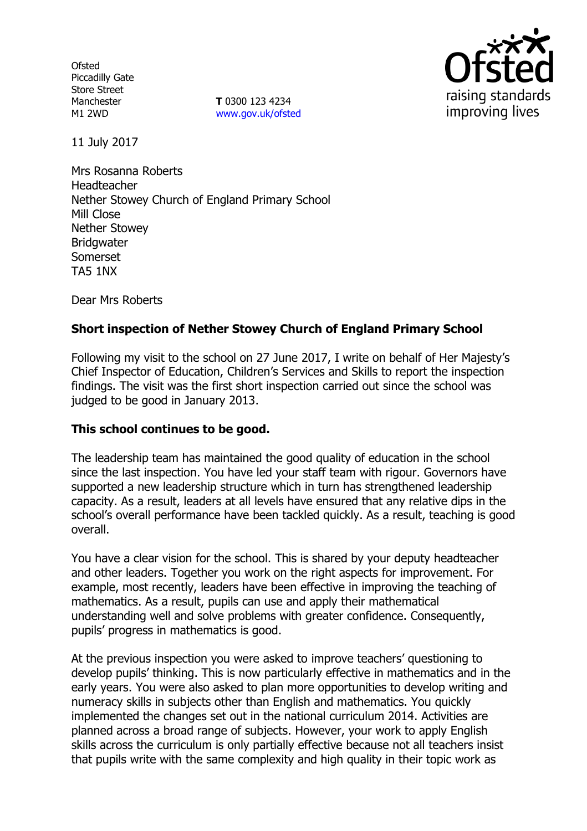**Ofsted** Piccadilly Gate Store Street Manchester M1 2WD

**T** 0300 123 4234 www.gov.uk/ofsted



11 July 2017

Mrs Rosanna Roberts Headteacher Nether Stowey Church of England Primary School Mill Close Nether Stowey **Bridgwater** Somerset TA5 1NX

Dear Mrs Roberts

# **Short inspection of Nether Stowey Church of England Primary School**

Following my visit to the school on 27 June 2017, I write on behalf of Her Majesty's Chief Inspector of Education, Children's Services and Skills to report the inspection findings. The visit was the first short inspection carried out since the school was judged to be good in January 2013.

#### **This school continues to be good.**

The leadership team has maintained the good quality of education in the school since the last inspection. You have led your staff team with rigour. Governors have supported a new leadership structure which in turn has strengthened leadership capacity. As a result, leaders at all levels have ensured that any relative dips in the school's overall performance have been tackled quickly. As a result, teaching is good overall.

You have a clear vision for the school. This is shared by your deputy headteacher and other leaders. Together you work on the right aspects for improvement. For example, most recently, leaders have been effective in improving the teaching of mathematics. As a result, pupils can use and apply their mathematical understanding well and solve problems with greater confidence. Consequently, pupils' progress in mathematics is good.

At the previous inspection you were asked to improve teachers' questioning to develop pupils' thinking. This is now particularly effective in mathematics and in the early years. You were also asked to plan more opportunities to develop writing and numeracy skills in subjects other than English and mathematics. You quickly implemented the changes set out in the national curriculum 2014. Activities are planned across a broad range of subjects. However, your work to apply English skills across the curriculum is only partially effective because not all teachers insist that pupils write with the same complexity and high quality in their topic work as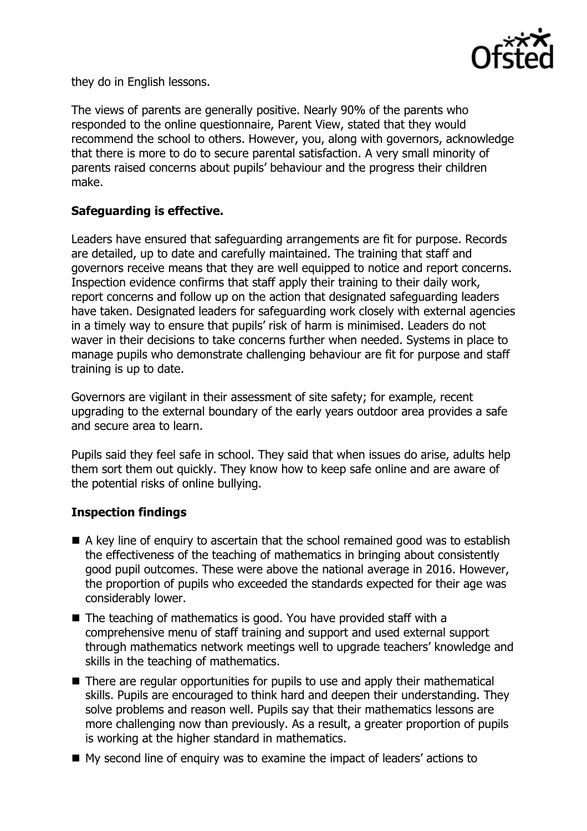

they do in English lessons.

The views of parents are generally positive. Nearly 90% of the parents who responded to the online questionnaire, Parent View, stated that they would recommend the school to others. However, you, along with governors, acknowledge that there is more to do to secure parental satisfaction. A very small minority of parents raised concerns about pupils' behaviour and the progress their children make.

## **Safeguarding is effective.**

Leaders have ensured that safeguarding arrangements are fit for purpose. Records are detailed, up to date and carefully maintained. The training that staff and governors receive means that they are well equipped to notice and report concerns. Inspection evidence confirms that staff apply their training to their daily work, report concerns and follow up on the action that designated safeguarding leaders have taken. Designated leaders for safeguarding work closely with external agencies in a timely way to ensure that pupils' risk of harm is minimised. Leaders do not waver in their decisions to take concerns further when needed. Systems in place to manage pupils who demonstrate challenging behaviour are fit for purpose and staff training is up to date.

Governors are vigilant in their assessment of site safety; for example, recent upgrading to the external boundary of the early years outdoor area provides a safe and secure area to learn.

Pupils said they feel safe in school. They said that when issues do arise, adults help them sort them out quickly. They know how to keep safe online and are aware of the potential risks of online bullying.

# **Inspection findings**

- A key line of enquiry to ascertain that the school remained good was to establish the effectiveness of the teaching of mathematics in bringing about consistently good pupil outcomes. These were above the national average in 2016. However, the proportion of pupils who exceeded the standards expected for their age was considerably lower.
- The teaching of mathematics is good. You have provided staff with a comprehensive menu of staff training and support and used external support through mathematics network meetings well to upgrade teachers' knowledge and skills in the teaching of mathematics.
- There are regular opportunities for pupils to use and apply their mathematical skills. Pupils are encouraged to think hard and deepen their understanding. They solve problems and reason well. Pupils say that their mathematics lessons are more challenging now than previously. As a result, a greater proportion of pupils is working at the higher standard in mathematics.
- My second line of enquiry was to examine the impact of leaders' actions to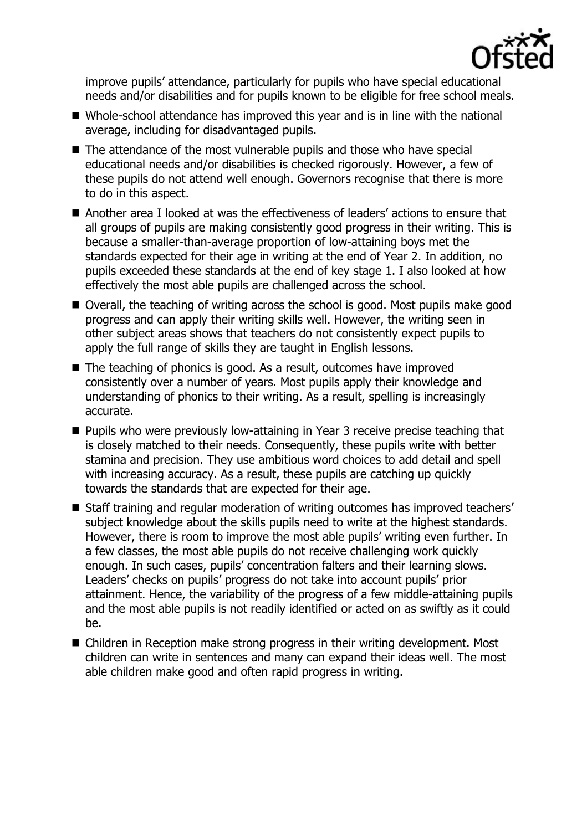

improve pupils' attendance, particularly for pupils who have special educational needs and/or disabilities and for pupils known to be eligible for free school meals.

- Whole-school attendance has improved this year and is in line with the national average, including for disadvantaged pupils.
- The attendance of the most vulnerable pupils and those who have special educational needs and/or disabilities is checked rigorously. However, a few of these pupils do not attend well enough. Governors recognise that there is more to do in this aspect.
- Another area I looked at was the effectiveness of leaders' actions to ensure that all groups of pupils are making consistently good progress in their writing. This is because a smaller-than-average proportion of low-attaining boys met the standards expected for their age in writing at the end of Year 2. In addition, no pupils exceeded these standards at the end of key stage 1. I also looked at how effectively the most able pupils are challenged across the school.
- Overall, the teaching of writing across the school is good. Most pupils make good progress and can apply their writing skills well. However, the writing seen in other subject areas shows that teachers do not consistently expect pupils to apply the full range of skills they are taught in English lessons.
- The teaching of phonics is good. As a result, outcomes have improved consistently over a number of years. Most pupils apply their knowledge and understanding of phonics to their writing. As a result, spelling is increasingly accurate.
- **Pupils who were previously low-attaining in Year 3 receive precise teaching that** is closely matched to their needs. Consequently, these pupils write with better stamina and precision. They use ambitious word choices to add detail and spell with increasing accuracy. As a result, these pupils are catching up quickly towards the standards that are expected for their age.
- Staff training and regular moderation of writing outcomes has improved teachers' subject knowledge about the skills pupils need to write at the highest standards. However, there is room to improve the most able pupils' writing even further. In a few classes, the most able pupils do not receive challenging work quickly enough. In such cases, pupils' concentration falters and their learning slows. Leaders' checks on pupils' progress do not take into account pupils' prior attainment. Hence, the variability of the progress of a few middle-attaining pupils and the most able pupils is not readily identified or acted on as swiftly as it could be.
- Children in Reception make strong progress in their writing development. Most children can write in sentences and many can expand their ideas well. The most able children make good and often rapid progress in writing.